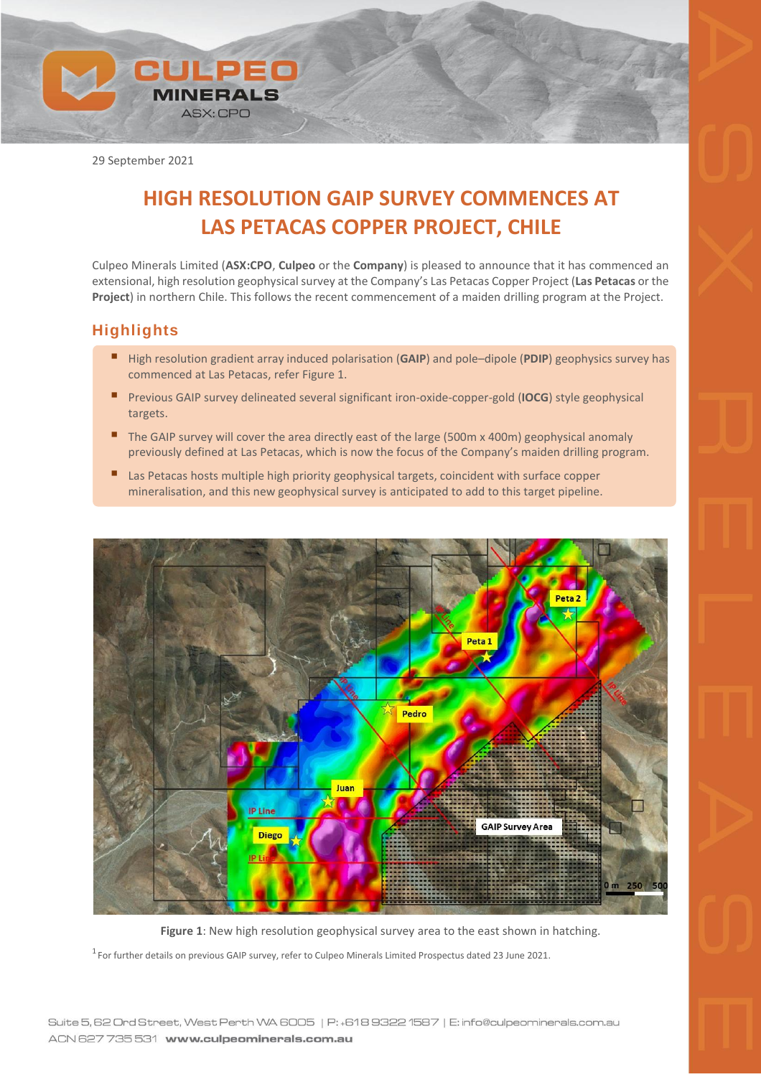

29 September 2021

# **HIGH RESOLUTION GAIP SURVEY COMMENCES AT LAS PETACAS COPPER PROJECT, CHILE**

Culpeo Minerals Limited (**ASX:CPO**, **Culpeo** or the **Company**) is pleased to announce that it has commenced an extensional, high resolution geophysical survey at the Company's Las Petacas Copper Project (**Las Petacas** or the **Project**) in northern Chile. This follows the recent commencement of a maiden drilling program at the Project.

## **Highlights**

- High resolution gradient array induced polarisation (GAIP) and pole–dipole (PDIP) geophysics survey has commenced at Las Petacas, refer Figure 1.
- **E** Previous GAIP survey delineated several significant iron-oxide-copper-gold (IOCG) style geophysical targets.
- The GAIP survey will cover the area directly east of the large (500m x 400m) geophysical anomaly previously defined at Las Petacas, which is now the focus of the Company's maiden drilling program.
- Las Petacas hosts multiple high priority geophysical targets, coincident with surface copper mineralisation, and this new geophysical survey is anticipated to add to this target pipeline.



**Figure 1**: New high resolution geophysical survey area to the east shown in hatching.  $^1$  For further details on previous GAIP survey, refer to Culpeo Minerals Limited Prospectus dated 23 June 2021.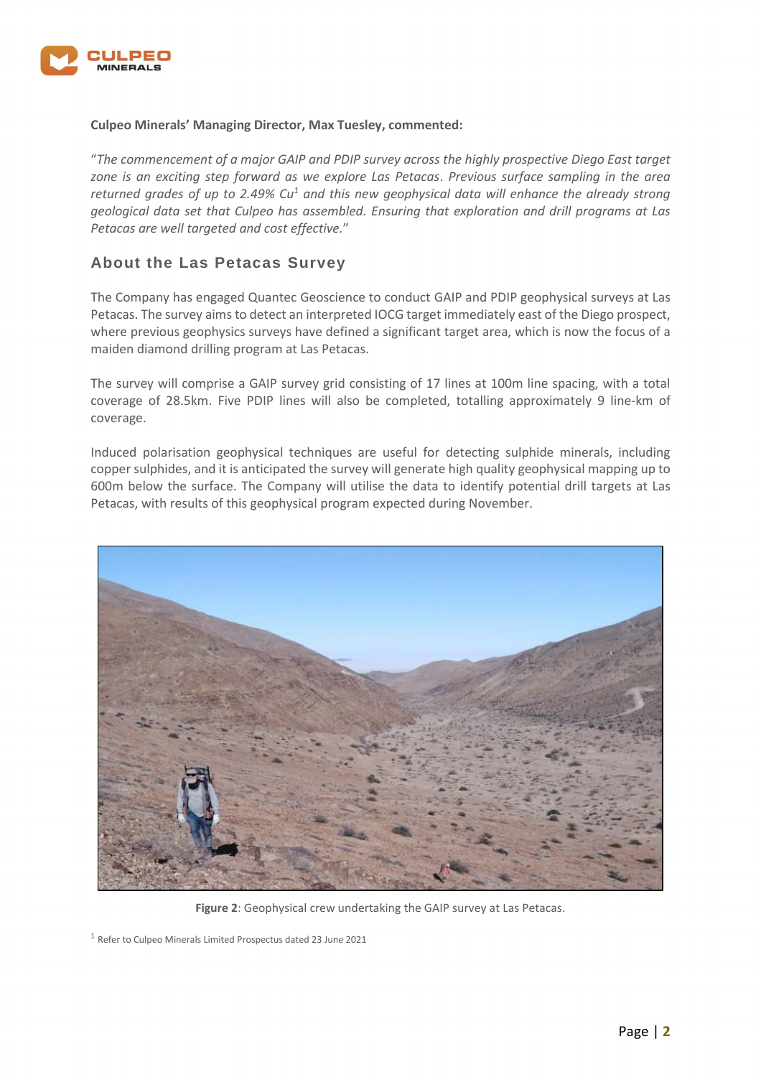

### **Culpeo Minerals' Managing Director, Max Tuesley, commented:**

"*The commencement of a major GAIP and PDIP survey across the highly prospective Diego East target zone is an exciting step forward as we explore Las Petacas*. *Previous surface sampling in the area returned grades of up to 2.49% Cu<sup>1</sup> and this new geophysical data will enhance the already strong geological data set that Culpeo has assembled. Ensuring that exploration and drill programs at Las Petacas are well targeted and cost effective.*"

## **About the Las Petacas Survey**

The Company has engaged Quantec Geoscience to conduct GAIP and PDIP geophysical surveys at Las Petacas. The survey aims to detect an interpreted IOCG target immediately east of the Diego prospect, where previous geophysics surveys have defined a significant target area, which is now the focus of a maiden diamond drilling program at Las Petacas.

The survey will comprise a GAIP survey grid consisting of 17 lines at 100m line spacing, with a total coverage of 28.5km. Five PDIP lines will also be completed, totalling approximately 9 line-km of coverage.

Induced polarisation geophysical techniques are useful for detecting sulphide minerals, including copper sulphides, and it is anticipated the survey will generate high quality geophysical mapping up to 600m below the surface. The Company will utilise the data to identify potential drill targets at Las Petacas, with results of this geophysical program expected during November.



**Figure 2**: Geophysical crew undertaking the GAIP survey at Las Petacas.

<sup>1</sup> Refer to Culpeo Minerals Limited Prospectus dated 23 June 2021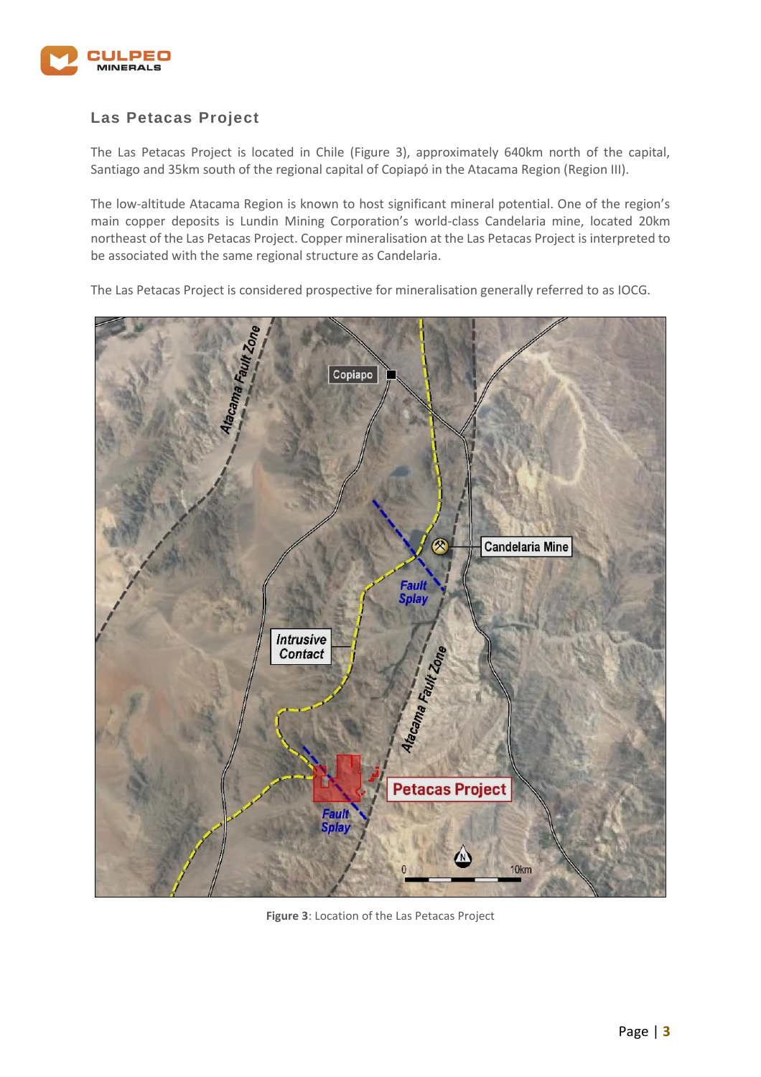

## **Las Petacas Project**

The Las Petacas Project is located in Chile (Figure 3), approximately 640km north of the capital, Santiago and 35km south of the regional capital of Copiapó in the Atacama Region (Region III).

The low-altitude Atacama Region is known to host significant mineral potential. One of the region's main copper deposits is Lundin Mining Corporation's world-class Candelaria mine, located 20km northeast of the Las Petacas Project. Copper mineralisation at the Las Petacas Project is interpreted to be associated with the same regional structure as Candelaria.

Copiapo **Candelaria Mine Fault**<br>Splay Intrusive Atacama Faut Zone Contact **Petacas Project** Fault **Splay** 10km

The Las Petacas Project is considered prospective for mineralisation generally referred to as IOCG.

**Figure 3**: Location of the Las Petacas Project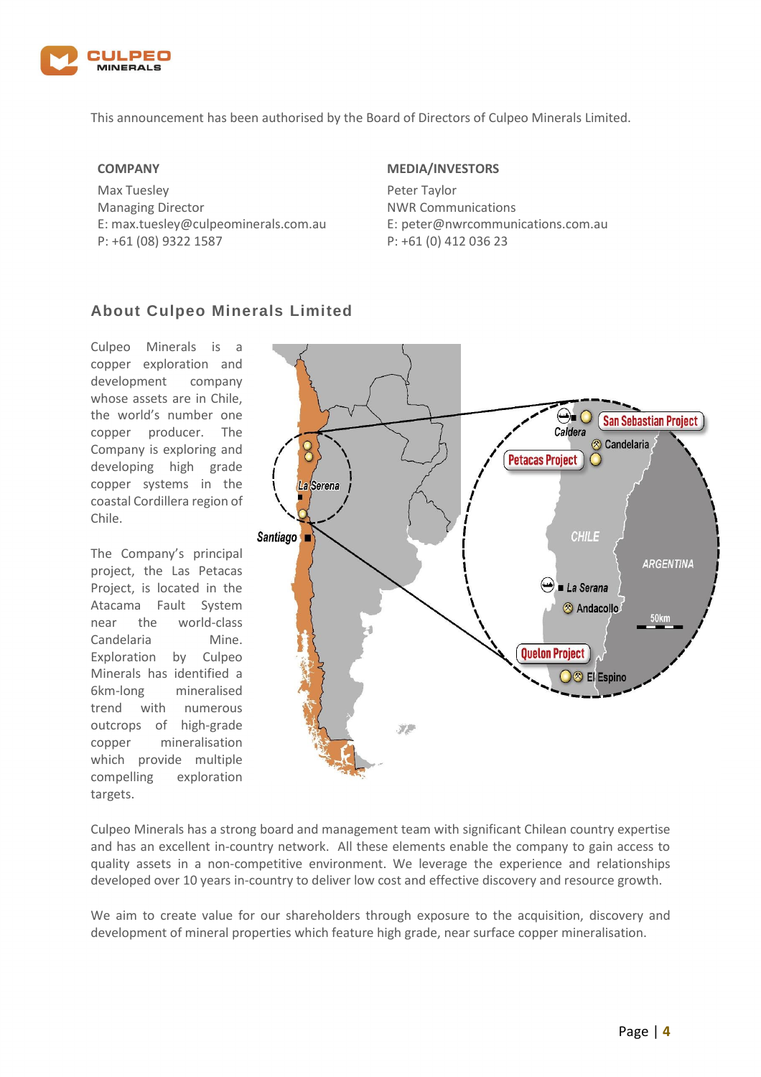

This announcement has been authorised by the Board of Directors of Culpeo Minerals Limited.

#### **COMPANY**

Max Tuesley Managing Director E: max.tuesley@culpeominerals.com.au P: +61 (08) 9322 1587

### **MEDIA/INVESTORS**

Peter Taylor NWR Communications E: peter@nwrcommunications.com.au P: +61 (0) 412 036 23

## **About Culpeo Minerals Limited**

Culpeo Minerals is a copper exploration and development company whose assets are in Chile, the world's number one copper producer. The Company is exploring and developing high grade copper systems in the coastal Cordillera region of Chile.

The Company's principal project, the Las Petacas Project, is located in the Atacama Fault System near the world-class Candelaria Mine. Exploration by Culpeo Minerals has identified a 6km-long mineralised trend with numerous outcrops of high-grade copper mineralisation which provide multiple compelling exploration targets.



Culpeo Minerals has a strong board and management team with significant Chilean country expertise and has an excellent in-country network. All these elements enable the company to gain access to quality assets in a non-competitive environment. We leverage the experience and relationships developed over 10 years in-country to deliver low cost and effective discovery and resource growth.

We aim to create value for our shareholders through exposure to the acquisition, discovery and development of mineral properties which feature high grade, near surface copper mineralisation.